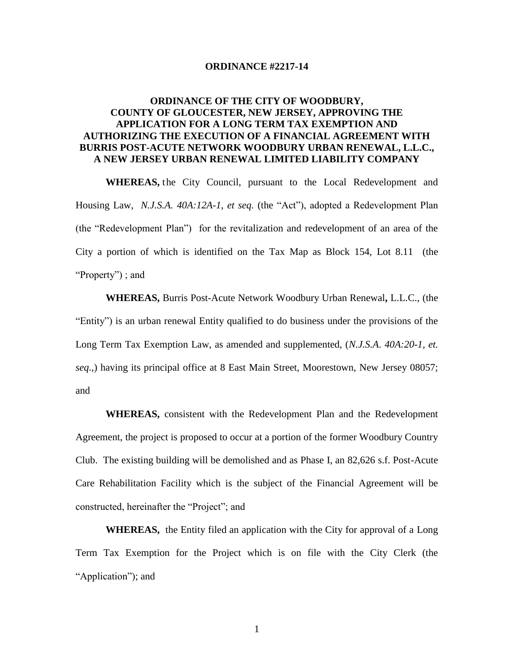#### **ORDINANCE #2217-14**

# **ORDINANCE OF THE CITY OF WOODBURY, COUNTY OF GLOUCESTER, NEW JERSEY, APPROVING THE APPLICATION FOR A LONG TERM TAX EXEMPTION AND AUTHORIZING THE EXECUTION OF A FINANCIAL AGREEMENT WITH BURRIS POST-ACUTE NETWORK WOODBURY URBAN RENEWAL, L.L.C., A NEW JERSEY URBAN RENEWAL LIMITED LIABILITY COMPANY**

**WHEREAS,** the City Council, pursuant to the Local Redevelopment and Housing Law, *N.J.S.A. 40A:12A-1, et seq.* (the "Act"), adopted a Redevelopment Plan (the "Redevelopment Plan") for the revitalization and redevelopment of an area of the City a portion of which is identified on the Tax Map as Block 154, Lot 8.11 (the "Property") ; and

**WHEREAS,** Burris Post-Acute Network Woodbury Urban Renewal**,** L.L.C., (the "Entity") is an urban renewal Entity qualified to do business under the provisions of the Long Term Tax Exemption Law, as amended and supplemented, (*N.J.S.A*. *40A:20*-*1, et. seq*.,) having its principal office at 8 East Main Street, Moorestown, New Jersey 08057; and

**WHEREAS,** consistent with the Redevelopment Plan and the Redevelopment Agreement, the project is proposed to occur at a portion of the former Woodbury Country Club. The existing building will be demolished and as Phase I, an 82,626 s.f. Post-Acute Care Rehabilitation Facility which is the subject of the Financial Agreement will be constructed, hereinafter the "Project"; and

 **WHEREAS,** the Entity filed an application with the City for approval of a Long Term Tax Exemption for the Project which is on file with the City Clerk (the "Application"); and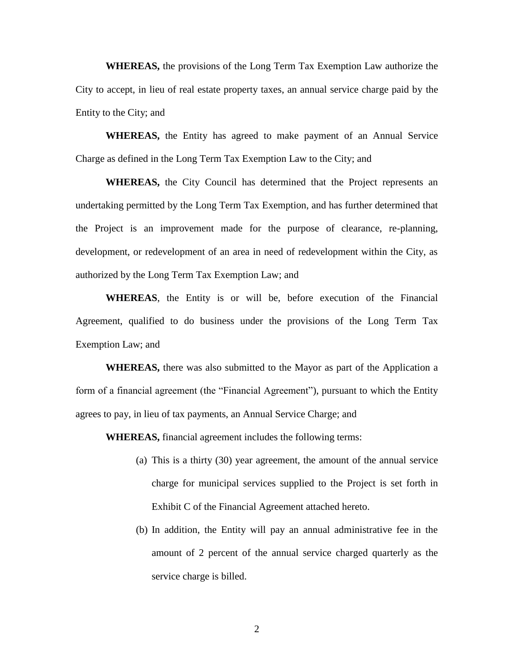**WHEREAS,** the provisions of the Long Term Tax Exemption Law authorize the City to accept, in lieu of real estate property taxes, an annual service charge paid by the Entity to the City; and

**WHEREAS,** the Entity has agreed to make payment of an Annual Service Charge as defined in the Long Term Tax Exemption Law to the City; and

**WHEREAS,** the City Council has determined that the Project represents an undertaking permitted by the Long Term Tax Exemption, and has further determined that the Project is an improvement made for the purpose of clearance, re-planning, development, or redevelopment of an area in need of redevelopment within the City, as authorized by the Long Term Tax Exemption Law; and

**WHEREAS**, the Entity is or will be, before execution of the Financial Agreement, qualified to do business under the provisions of the Long Term Tax Exemption Law; and

**WHEREAS,** there was also submitted to the Mayor as part of the Application a form of a financial agreement (the "Financial Agreement"), pursuant to which the Entity agrees to pay, in lieu of tax payments, an Annual Service Charge; and

**WHEREAS,** financial agreement includes the following terms:

- (a) This is a thirty (30) year agreement, the amount of the annual service charge for municipal services supplied to the Project is set forth in Exhibit C of the Financial Agreement attached hereto.
- (b) In addition, the Entity will pay an annual administrative fee in the amount of 2 percent of the annual service charged quarterly as the service charge is billed.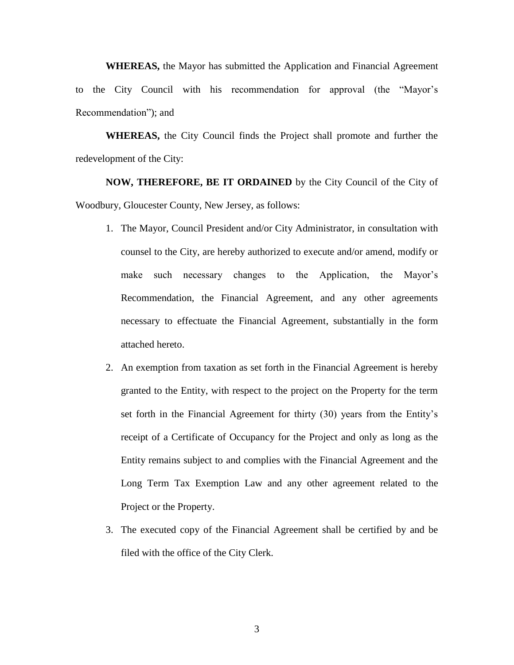**WHEREAS,** the Mayor has submitted the Application and Financial Agreement to the City Council with his recommendation for approval (the "Mayor's Recommendation"); and

**WHEREAS,** the City Council finds the Project shall promote and further the redevelopment of the City:

**NOW, THEREFORE, BE IT ORDAINED** by the City Council of the City of Woodbury, Gloucester County, New Jersey, as follows:

- 1. The Mayor, Council President and/or City Administrator, in consultation with counsel to the City, are hereby authorized to execute and/or amend, modify or make such necessary changes to the Application, the Mayor's Recommendation, the Financial Agreement, and any other agreements necessary to effectuate the Financial Agreement, substantially in the form attached hereto.
- 2. An exemption from taxation as set forth in the Financial Agreement is hereby granted to the Entity, with respect to the project on the Property for the term set forth in the Financial Agreement for thirty (30) years from the Entity's receipt of a Certificate of Occupancy for the Project and only as long as the Entity remains subject to and complies with the Financial Agreement and the Long Term Tax Exemption Law and any other agreement related to the Project or the Property.
- 3. The executed copy of the Financial Agreement shall be certified by and be filed with the office of the City Clerk.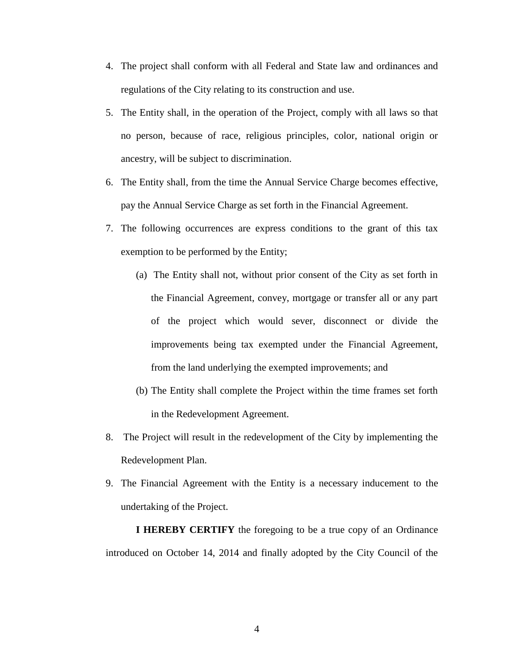- 4. The project shall conform with all Federal and State law and ordinances and regulations of the City relating to its construction and use.
- 5. The Entity shall, in the operation of the Project, comply with all laws so that no person, because of race, religious principles, color, national origin or ancestry, will be subject to discrimination.
- 6. The Entity shall, from the time the Annual Service Charge becomes effective, pay the Annual Service Charge as set forth in the Financial Agreement.
- 7. The following occurrences are express conditions to the grant of this tax exemption to be performed by the Entity;
	- (a) The Entity shall not, without prior consent of the City as set forth in the Financial Agreement, convey, mortgage or transfer all or any part of the project which would sever, disconnect or divide the improvements being tax exempted under the Financial Agreement, from the land underlying the exempted improvements; and
	- (b) The Entity shall complete the Project within the time frames set forth in the Redevelopment Agreement.
- 8. The Project will result in the redevelopment of the City by implementing the Redevelopment Plan.
- 9. The Financial Agreement with the Entity is a necessary inducement to the undertaking of the Project.

**I HEREBY CERTIFY** the foregoing to be a true copy of an Ordinance introduced on October 14, 2014 and finally adopted by the City Council of the